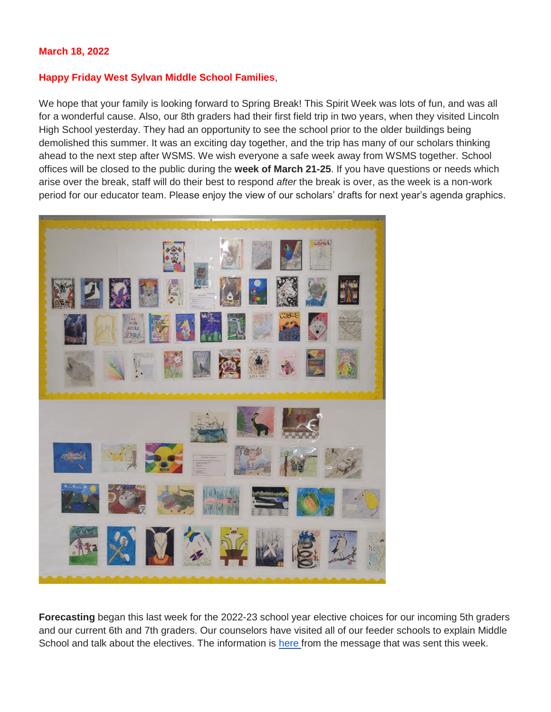#### **March 18, 2022**

#### **Happy Friday West Sylvan Middle School Families**,

We hope that your family is looking forward to Spring Break! This Spirit Week was lots of fun, and was all for a wonderful cause. Also, our 8th graders had their first field trip in two years, when they visited Lincoln High School yesterday. They had an opportunity to see the school prior to the older buildings being demolished this summer. It was an exciting day together, and the trip has many of our scholars thinking ahead to the next step after WSMS. We wish everyone a safe week away from WSMS together. School offices will be closed to the public during the **week of March 21-25**. If you have questions or needs which arise over the break, staff will do their best to respond *after* the break is over, as the week is a non-work period for our educator team. Please enjoy the view of our scholars' drafts for next year's agenda graphics.



**Forecasting** began this last week for the 2022-23 school year elective choices for our incoming 5th graders and our current 6th and 7th graders. Our counselors have visited all of our feeder schools to explain Middle School and talk about the electives. The information is [here f](https://docs.google.com/document/d/105XXx6Z7Qz5ui7o-kmTNqqa7cryFH5nBhyOaNz_PNsY/edit?usp=sharing)rom the message that was sent this week.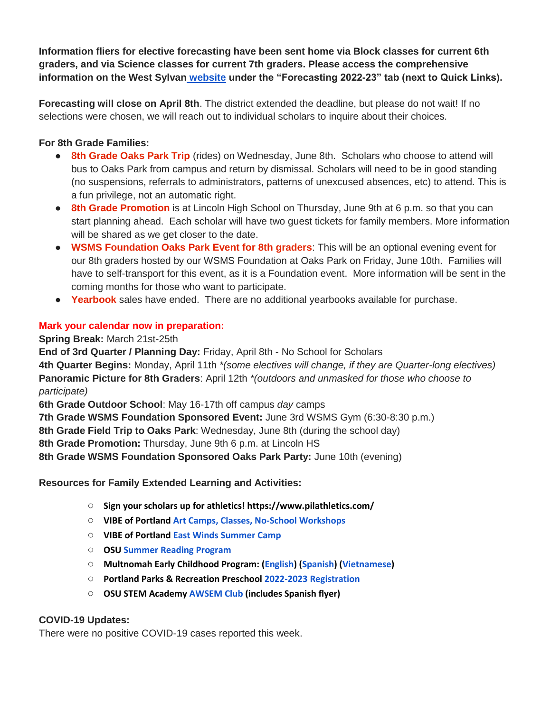**Information fliers for elective forecasting have been sent home via Block classes for current 6th graders, and via Science classes for current 7th graders. Please access the comprehensive information on the West Sylvan [website](https://www.pps.net/westsylvan) under the "Forecasting 2022-23" tab (next to Quick Links).**

**Forecasting will close on April 8th**. The district extended the deadline, but please do not wait! If no selections were chosen, we will reach out to individual scholars to inquire about their choices.

# **For 8th Grade Families:**

- **8th Grade Oaks Park Trip** (rides) on Wednesday, June 8th. Scholars who choose to attend will bus to Oaks Park from campus and return by dismissal. Scholars will need to be in good standing (no suspensions, referrals to administrators, patterns of unexcused absences, etc) to attend. This is a fun privilege, not an automatic right.
- **8th Grade Promotion** is at Lincoln High School on Thursday, June 9th at 6 p.m. so that you can start planning ahead. Each scholar will have two guest tickets for family members. More information will be shared as we get closer to the date.
- **WSMS Foundation Oaks Park Event for 8th graders**: This will be an optional evening event for our 8th graders hosted by our WSMS Foundation at Oaks Park on Friday, June 10th. Families will have to self-transport for this event, as it is a Foundation event. More information will be sent in the coming months for those who want to participate.
- **Yearbook** sales have ended. There are no additional yearbooks available for purchase.

# **Mark your calendar now in preparation:**

**Spring Break:** March 21st-25th

**End of 3rd Quarter / Planning Day:** Friday, April 8th - No School for Scholars

**4th Quarter Begins:** Monday, April 11th *\*(some electives will change, if they are Quarter-long electives)* **Panoramic Picture for 8th Graders**: April 12th *\*(outdoors and unmasked for those who choose to participate)*

**6th Grade Outdoor School**: May 16-17th off campus *day* camps

**7th Grade WSMS Foundation Sponsored Event:** June 3rd WSMS Gym (6:30-8:30 p.m.)

**8th Grade Field Trip to Oaks Park**: Wednesday, June 8th (during the school day)

**8th Grade Promotion:** Thursday, June 9th 6 p.m. at Lincoln HS

**8th Grade WSMS Foundation Sponsored Oaks Park Party:** June 10th (evening)

**Resources for Family Extended Learning and Activities:**

- **Sign your scholars up for athletics! https://www.pilathletics.com/**
- **VIBE of Portland [Art Camps, Classes, No-School Workshops](https://www.pps.net/cms/lib/OR01913224/Centricity/Domain/254/VIBE.jpeg)**
- **VIBE of Portland [East Winds Summer Camp](https://www.pps.net/cms/lib/OR01913224/Centricity/Domain/254/VIBE-east_winds_2022.jpeg)**
- **OSU [Summer Reading Program](https://www.pps.net/cms/lib/OR01913224/Centricity/Domain/254/OSU-reading-summer-2022.pdf)**
- **Multnomah Early Childhood Program: [\(English\)](https://www.pps.net/cms/lib/OR01913224/Centricity/Domain/254/MECP-2021-22-PEER-Flyer-English.pdf) [\(Spanish\)](https://www.pps.net/cms/lib/OR01913224/Centricity/Domain/254/MECP-2021-22-PEER-Flyer-Spanish.pdf) [\(Vietnamese\)](https://www.pps.net/cms/lib/OR01913224/Centricity/Domain/254/MECP-2021-22-PEER-Flyer-Vietnamese.pdf)**
- **Portland Parks & Recreation Preschool [2022-2023 Registration](https://www.pps.net/cms/lib/OR01913224/Centricity/Domain/254/PPR-Preschool-22-23-price-sheet.pdf)**
- **OSU STEM Academy [AWSEM](https://www.pps.net/cms/lib/OR01913224/Centricity/Domain/254/AWSEM_Flyer_Combined_General.pdf) [Club](https://www.pps.net/cms/lib/OR01913224/Centricity/Domain/254/AWSEM_Flyer_Combined_General.pdf) (includes Spanish flyer)**

# **COVID-19 Updates:**

There were no positive COVID-19 cases reported this week.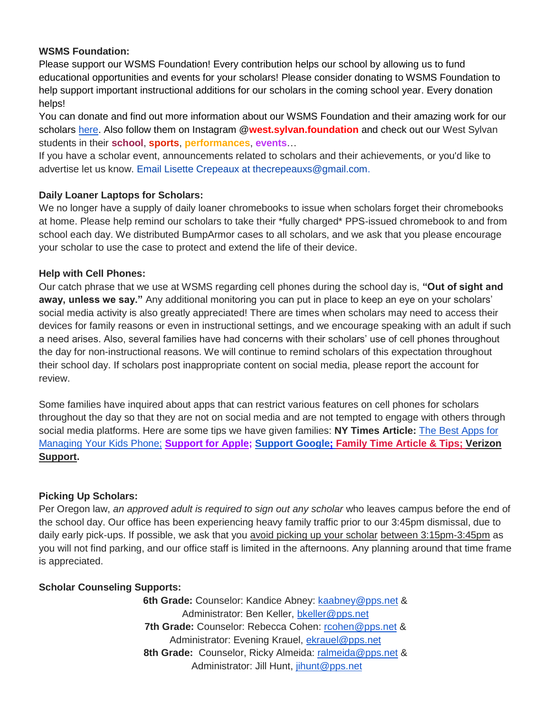## **WSMS Foundation:**

Please support our WSMS Foundation! Every contribution helps our school by allowing us to fund educational opportunities and events for your scholars! Please consider donating to WSMS Foundation to help support important instructional additions for our scholars in the coming school year. Every donation helps!

You can donate and find out more information about our WSMS Foundation and their amazing work for our scholars [here.](https://www.westsylvanfoundation.com/) Also follow them on Instagram @**west.sylvan.foundation** and check out our West Sylvan students in their **school**, **sports**, **performances**, **events**…

If you have a scholar event, announcements related to scholars and their achievements, or you'd like to advertise let us know. Email Lisette Crepeaux at thecrepeauxs@gmail.com.

### **Daily Loaner Laptops for Scholars:**

We no longer have a supply of daily loaner chromebooks to issue when scholars forget their chromebooks at home. Please help remind our scholars to take their \*fully charged\* PPS-issued chromebook to and from school each day. We distributed BumpArmor cases to all scholars, and we ask that you please encourage your scholar to use the case to protect and extend the life of their device.

### **Help with Cell Phones:**

Our catch phrase that we use at WSMS regarding cell phones during the school day is, **"Out of sight and away, unless we say."** Any additional monitoring you can put in place to keep an eye on your scholars' social media activity is also greatly appreciated! There are times when scholars may need to access their devices for family reasons or even in instructional settings, and we encourage speaking with an adult if such a need arises. Also, several families have had concerns with their scholars' use of cell phones throughout the day for non-instructional reasons. We will continue to remind scholars of this expectation throughout their school day. If scholars post inappropriate content on social media, please report the account for review.

Some families have inquired about apps that can restrict various features on cell phones for scholars throughout the day so that they are not on social media and are not tempted to engage with others through social media platforms. Here are some tips we have given families: **NY Times Article:** [The Best Apps for](https://www.nytimes.com/wirecutter/reviews/best-apps-to-manage-your-kids-phone/)  [Managing Your Kids Phone;](https://www.nytimes.com/wirecutter/reviews/best-apps-to-manage-your-kids-phone/) **[Support for Apple;](https://support.apple.com/guide/iphone/set-up-parental-controls-iph00ba7d632/ios) [Support Google](https://support.google.com/families/answer/7103340?hl=en)[;](https://familytime.io/) [Family Time Article & Tips;](https://familytime.io/) [Verizon](https://www.verizon.com/support/verizon-smart-family-restrictions-video/)  [Support.](https://www.verizon.com/support/verizon-smart-family-restrictions-video/)** 

### **Picking Up Scholars:**

Per Oregon law, *an approved adult is required to sign out any scholar* who leaves campus before the end of the school day. Our office has been experiencing heavy family traffic prior to our 3:45pm dismissal, due to daily early pick-ups. If possible, we ask that you avoid picking up your scholar between 3:15pm-3:45pm as you will not find parking, and our office staff is limited in the afternoons. Any planning around that time frame is appreciated.

### **Scholar Counseling Supports:**

**6th Grade:** Counselor: Kandice Abney: [kaabney@pps.net](mailto:kaabney@pps.net) & Administrator: Ben Keller, [bkeller@pps.net](mailto:bkeller@pps.net) 7th Grade: Counselor: Rebecca Cohen: [rcohen@pps.net](mailto:rcohen@pps.net) & Administrator: Evening Krauel, [ekrauel@pps.net](mailto:ekrauel@pps.net) 8th Grade: Counselor, Ricky Almeida: [ralmeida@pps.net](mailto:ralmeida@pps.net) & Administrator: Jill Hunt, [jihunt@pps.net](mailto:jihunt@pps.net)